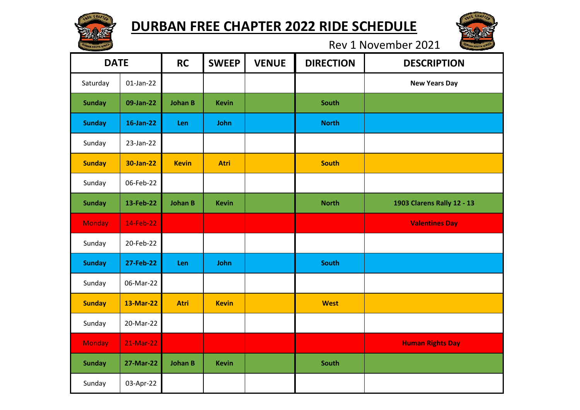

## **DURBAN FREE CHAPTER 2022 RIDE SCHEDULE**



Rev 1 November 2021

| <b>DATE</b>   |                  | <b>RC</b>      | <b>SWEEP</b> | <b>VENUE</b> | <b>DIRECTION</b> | <b>DESCRIPTION</b>         |
|---------------|------------------|----------------|--------------|--------------|------------------|----------------------------|
| Saturday      | $01$ -Jan-22     |                |              |              |                  | <b>New Years Day</b>       |
| <b>Sunday</b> | 09-Jan-22        | <b>Johan B</b> | <b>Kevin</b> |              | South            |                            |
| <b>Sunday</b> | 16-Jan-22        | Len            | John         |              | <b>North</b>     |                            |
| Sunday        | 23-Jan-22        |                |              |              |                  |                            |
| <b>Sunday</b> | 30-Jan-22        | <b>Kevin</b>   | Atri         |              | <b>South</b>     |                            |
| Sunday        | 06-Feb-22        |                |              |              |                  |                            |
| <b>Sunday</b> | 13-Feb-22        | <b>Johan B</b> | <b>Kevin</b> |              | <b>North</b>     | 1903 Clarens Rally 12 - 13 |
| <b>Monday</b> | 14-Feb-22        |                |              |              |                  | <b>Valentines Day</b>      |
| Sunday        | 20-Feb-22        |                |              |              |                  |                            |
| <b>Sunday</b> | <b>27-Feb-22</b> | Len            | John         |              | <b>South</b>     |                            |
| Sunday        | 06-Mar-22        |                |              |              |                  |                            |
| <b>Sunday</b> | 13-Mar-22        | <b>Atri</b>    | <b>Kevin</b> |              | <b>West</b>      |                            |
| Sunday        | 20-Mar-22        |                |              |              |                  |                            |
| <b>Monday</b> | 21-Mar-22        |                |              |              |                  | <b>Human Rights Day</b>    |
| <b>Sunday</b> | 27-Mar-22        | <b>Johan B</b> | <b>Kevin</b> |              | South            |                            |
| Sunday        | 03-Apr-22        |                |              |              |                  |                            |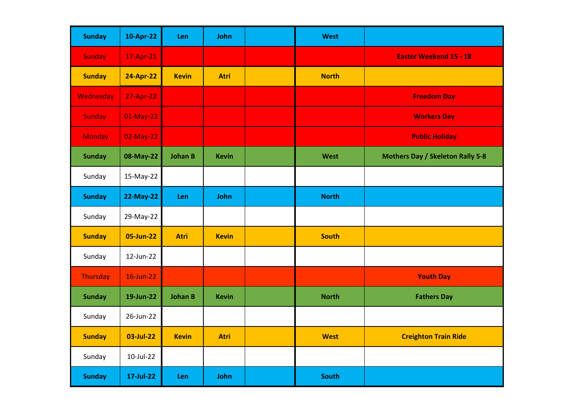| <b>Sunday</b>   | 10-Apr-22        | Len            | John         | <b>West</b>  |                                         |
|-----------------|------------------|----------------|--------------|--------------|-----------------------------------------|
| Sunday          | 17-Apr-21        |                |              |              | <b>Easter Weekend 15 - 18</b>           |
| <b>Sunday</b>   | <b>24-Apr-22</b> | <b>Kevin</b>   | Atri         | <b>North</b> |                                         |
| Wednesday       | 27-Apr-22        |                |              |              | <b>Freedom Day</b>                      |
| Sunday          | $01$ -May-22     |                |              |              | <b>Workers Day</b>                      |
| <b>Monday</b>   | 02-May-22        |                |              |              | <b>Public Holiday</b>                   |
| <b>Sunday</b>   | 08-May-22        | <b>Johan B</b> | <b>Kevin</b> | West         | <b>Mothers Day / Skeleton Rally 5-8</b> |
| Sunday          | 15-May-22        |                |              |              |                                         |
| <b>Sunday</b>   | 22-May-22        | Len            | <b>John</b>  | <b>North</b> |                                         |
| Sunday          | 29-May-22        |                |              |              |                                         |
| <b>Sunday</b>   | 05-Jun-22        | <b>Atri</b>    | <b>Kevin</b> | <b>South</b> |                                         |
| Sunday          | 12-Jun-22        |                |              |              |                                         |
| <b>Thursday</b> | $16$ -Jun-22     |                |              |              | <b>Youth Day</b>                        |
| <b>Sunday</b>   | 19-Jun-22        | <b>Johan B</b> | <b>Kevin</b> | <b>North</b> | <b>Fathers Day</b>                      |
| Sunday          | 26-Jun-22        |                |              |              |                                         |
| <b>Sunday</b>   | 03-Jul-22        | Kevin          | Atri         | <b>West</b>  | <b>Creighton Train Ride</b>             |
| Sunday          | 10-Jul-22        |                |              |              |                                         |
| <b>Sunday</b>   | 17-Jul-22        | Len            | John         | <b>South</b> |                                         |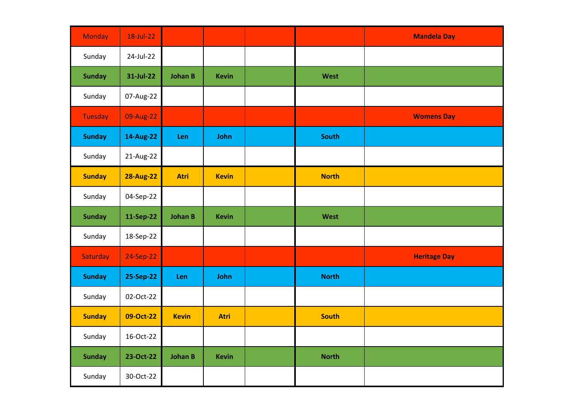| <b>Monday</b>  | 18-Jul-22        |                |              |              | <b>Mandela Day</b>  |
|----------------|------------------|----------------|--------------|--------------|---------------------|
| Sunday         | 24-Jul-22        |                |              |              |                     |
| <b>Sunday</b>  | 31-Jul-22        | <b>Johan B</b> | <b>Kevin</b> | West         |                     |
| Sunday         | 07-Aug-22        |                |              |              |                     |
| <b>Tuesday</b> | 09-Aug-22        |                |              |              | <b>Womens Day</b>   |
| <b>Sunday</b>  | 14-Aug-22        | Len            | John         | <b>South</b> |                     |
| Sunday         | 21-Aug-22        |                |              |              |                     |
| <b>Sunday</b>  | <b>28-Aug-22</b> | <b>Atri</b>    | <b>Kevin</b> | <b>North</b> |                     |
| Sunday         | 04-Sep-22        |                |              |              |                     |
| <b>Sunday</b>  | 11-Sep-22        | <b>Johan B</b> | <b>Kevin</b> | West         |                     |
| Sunday         | 18-Sep-22        |                |              |              |                     |
| Saturday       | 24-Sep-22        |                |              |              | <b>Heritage Day</b> |
| <b>Sunday</b>  | 25-Sep-22        | Len            | John         | <b>North</b> |                     |
| Sunday         | 02-Oct-22        |                |              |              |                     |
| <b>Sunday</b>  | 09-Oct-22        | <b>Kevin</b>   | Atri         | <b>South</b> |                     |
| Sunday         | 16-Oct-22        |                |              |              |                     |
| <b>Sunday</b>  | 23-Oct-22        | <b>Johan B</b> | <b>Kevin</b> | <b>North</b> |                     |
| Sunday         | 30-Oct-22        |                |              |              |                     |